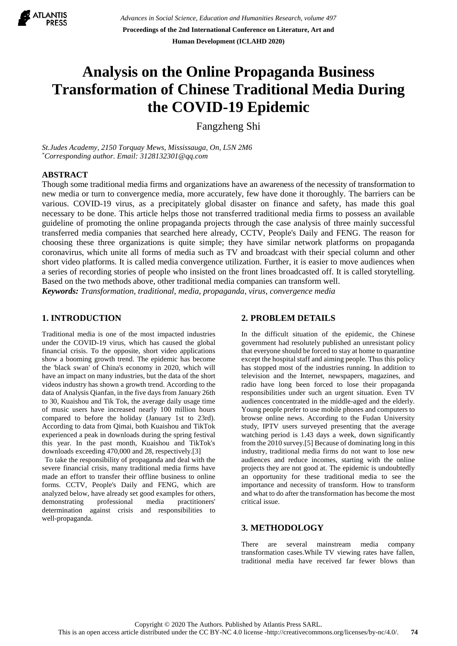

# **Analysis on the Online Propaganda Business Transformation of Chinese Traditional Media During the COVID-19 Epidemic**

Fangzheng Shi

*St.Judes Academy, 2150 Torquay Mews, Mississauga, On, L5N 2M6 \*Corresponding author. Email: 3128132301@qq.com*

# **ABSTRACT**

Though some traditional media firms and organizations have an awareness of the necessity of transformation to new media or turn to convergence media, more accurately, few have done it thoroughly. The barriers can be various. COVID-19 virus, as a precipitately global disaster on finance and safety, has made this goal necessary to be done. This article helps those not transferred traditional media firms to possess an available guideline of promoting the online propaganda projects through the case analysis of three mainly successful transferred media companies that searched here already, CCTV, People's Daily and FENG. The reason for choosing these three organizations is quite simple; they have similar network platforms on propaganda coronavirus, which unite all forms of media such as TV and broadcast with their special column and other short video platforms. It is called media convergence utilization. Further, it is easier to move audiences when a series of recording stories of people who insisted on the front lines broadcasted off. It is called storytelling. Based on the two methods above, other traditional media companies can transform well. *Keywords: Transformation, traditional, media, propaganda, virus, convergence media*

## **1. INTRODUCTION**

Traditional media is one of the most impacted industries under the COVID-19 virus, which has caused the global financial crisis. To the opposite, short video applications show a booming growth trend. The epidemic has become the 'black swan' of China's economy in 2020, which will have an impact on many industries, but the data of the short videos industry has shown a growth trend. According to the data of Analysis Qianfan, in the five days from January 26th to 30, Kuaishou and Tik Tok, the average daily usage time of music users have increased nearly 100 million hours compared to before the holiday (January 1st to 23rd). According to data from Qimai, both Kuaishou and TikTok experienced a peak in downloads during the spring festival this year. In the past month, Kuaishou and TikTok's downloads exceeding 470,000 and 28, respectively.[3]

To take the responsibility of propaganda and deal with the severe financial crisis, many traditional media firms have made an effort to transfer their offline business to online forms. CCTV, People's Daily and FENG, which are analyzed below, have already set good examples for others, demonstrating professional media practitioners' determination against crisis and responsibilities to well-propaganda.

## **2. PROBLEM DETAILS**

In the difficult situation of the epidemic, the Chinese government had resolutely published an unresistant policy that everyone should be forced to stay at home to quarantine except the hospital staff and aiming people. Thus this policy has stopped most of the industries running. In addition to television and the Internet, newspapers, magazines, and radio have long been forced to lose their propaganda responsibilities under such an urgent situation. Even TV audiences concentrated in the middle-aged and the elderly. Young people prefer to use mobile phones and computers to browse online news. According to the Fudan University study, IPTV users surveyed presenting that the average watching period is 1.43 days a week, down significantly from the 2010 survey.[5] Because of dominating long in this industry, traditional media firms do not want to lose new audiences and reduce incomes, starting with the online projects they are not good at. The epidemic is undoubtedly an opportunity for these traditional media to see the importance and necessity of transform. How to transform and what to do after the transformation has become the most critical issue.

#### **3. METHODOLOGY**

There are several mainstream media company transformation cases.While TV viewing rates have fallen, traditional media have received far fewer blows than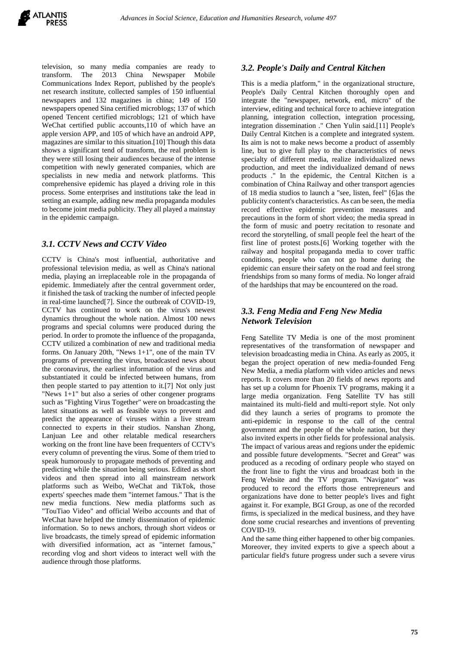television, so many media companies are ready to transform. The 2013 China Newspaper Mobile Communications Index Report, published by the people's net research institute, collected samples of 150 influential newspapers and 132 magazines in china; 149 of 150 newspapers opened Sina certified microblogs; 137 of which opened Tencent certified microblogs; 121 of which have WeChat certified public accounts,110 of which have an apple version APP, and 105 of which have an android APP, magazines are similar to this situation.[10] Though this data shows a significant tend of transform, the real problem is they were still losing their audiences because of the intense competition with newly generated companies, which are specialists in new media and network platforms. This comprehensive epidemic has played a driving role in this process. Some enterprises and institutions take the lead in setting an example, adding new media propaganda modules to become joint media publicity. They all played a mainstay in the epidemic campaign.

# *3.1. CCTV News and CCTV Video*

CCTV is China's most influential, authoritative and professional television media, as well as China's national media, playing an irreplaceable role in the propaganda of epidemic. Immediately after the central government order, it finished the task of tracking the number of infected people in real-time launched<sup>[7]</sup>. Since the outbreak of COVID-19, CCTV has continued to work on the virus's newest dynamics throughout the whole nation. Almost 100 news programs and special columns were produced during the period. In order to promote the influence of the propaganda, CCTV utilized a combination of new and traditional media forms. On January 20th, "News 1+1", one of the main TV programs of preventing the virus, broadcasted news about the coronavirus, the earliest information of the virus and substantiated it could be infected between humans, from then people started to pay attention to it.[7] Not only just "News 1+1" but also a series of other congener programs such as "Fighting Virus Together" were on broadcasting the latest situations as well as feasible ways to prevent and predict the appearance of viruses within a live stream connected to experts in their studios. Nanshan Zhong, Lanjuan Lee and other relatable medical researchers working on the front line have been frequenters of CCTV's every column of preventing the virus. Some of them tried to speak humorously to propagate methods of preventing and predicting while the situation being serious. Edited as short videos and then spread into all mainstream network platforms such as Weibo, WeChat and TikTok, those experts' speeches made them "internet famous." That is the new media functions. New media platforms such as "TouTiao Video" and official Weibo accounts and that of WeChat have helped the timely dissemination of epidemic information. So to news anchors, through short videos or live broadcasts, the timely spread of epidemic information with diversified information, act as "internet famous," recording vlog and short videos to interact well with the audience through those platforms.

## *3.2. People's Daily and Central Kitchen*

This is a media platform," in the organizational structure, People's Daily Central Kitchen thoroughly open and integrate the "newspaper, network, end, micro" of the interview, editing and technical force to achieve integration planning, integration collection, integration processing, integration dissemination ." Chen Yulin said.[11] People's Daily Central Kitchen is a complete and integrated system. Its aim is not to make news become a product of assembly line, but to give full play to the characteristics of news specialty of different media, realize individualized news production, and meet the individualized demand of news products ." In the epidemic, the Central Kitchen is a combination of China Railway and other transport agencies of 18 media studios to launch a "see, listen, feel" [6]as the publicity content's characteristics. As can be seen, the media record effective epidemic prevention measures and precautions in the form of short video; the media spread in the form of music and poetry recitation to resonate and record the storytelling, of small people feel the heart of the first line of protest posts.[6] Working together with the railway and hospital propaganda media to cover traffic conditions, people who can not go home during the epidemic can ensure their safety on the road and feel strong friendships from so many forms of media. No longer afraid of the hardships that may be encountered on the road.

# *3.3. Feng Media and Feng New Media Network Television*

Feng Satellite TV Media is one of the most prominent representatives of the transformation of newspaper and television broadcasting media in China. As early as 2005, it began the project operation of new media-founded Feng New Media, a media platform with video articles and news reports. It covers more than 20 fields of news reports and has set up a column for Phoenix TV programs, making it a large media organization. Feng Satellite TV has still maintained its multi-field and multi-report style. Not only did they launch a series of programs to promote the anti-epidemic in response to the call of the central government and the people of the whole nation, but they also invited experts in other fields for professional analysis. The impact of various areas and regions under the epidemic and possible future developments. "Secret and Great" was produced as a recoding of ordinary people who stayed on the front line to fight the virus and broadcast both in the Feng Website and the TV program. "Navigator" was produced to record the efforts those entrepreneurs and organizations have done to better people's lives and fight against it. For example, BGI Group, as one of the recorded firms, is specialized in the medical business, and they have done some crucial researches and inventions of preventing COVID-19.

And the same thing either happened to other big companies. Moreover, they invited experts to give a speech about a particular field's future progress under such a severe virus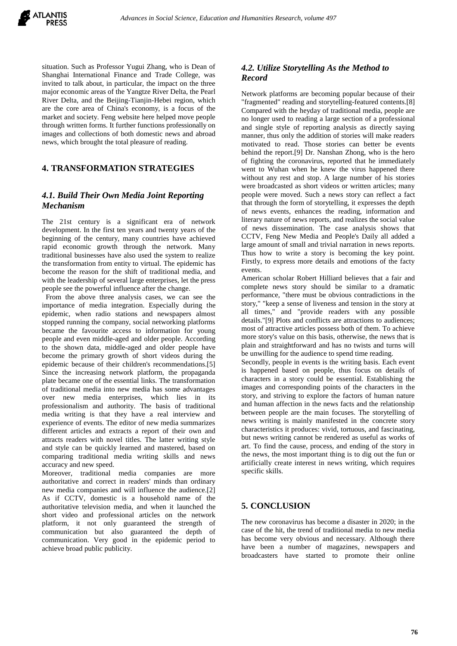

situation. Such as Professor Yugui Zhang, who is Dean of Shanghai International Finance and Trade College, was invited to talk about, in particular, the impact on the three major economic areas of the Yangtze River Delta, the Pearl River Delta, and the Beijing-Tianjin-Hebei region, which are the core area of China's economy, is a focus of the market and society. Feng website here helped move people through written forms. It further functions professionally on images and collections of both domestic news and abroad news, which brought the total pleasure of reading.

# **4. TRANSFORMATION STRATEGIES**

# *4.1. Build Their Own Media Joint Reporting Mechanism*

The 21st century is a significant era of network development. In the first ten years and twenty years of the beginning of the century, many countries have achieved rapid economic growth through the network. Many traditional businesses have also used the system to realize the transformation from entity to virtual. The epidemic has become the reason for the shift of traditional media, and with the leadership of several large enterprises, let the press people see the powerful influence after the change.

From the above three analysis cases, we can see the importance of media integration. Especially during the epidemic, when radio stations and newspapers almost stopped running the company, social networking platforms became the favourite access to information for young people and even middle-aged and older people. According to the shown data, middle-aged and older people have become the primary growth of short videos during the epidemic because of their children's recommendations.[5] Since the increasing network platform, the propaganda plate became one of the essential links. The transformation of traditional media into new media has some advantages over new media enterprises, which lies in its professionalism and authority. The basis of traditional media writing is that they have a real interview and experience of events. The editor of new media summarizes different articles and extracts a report of their own and attracts readers with novel titles. The latter writing style and style can be quickly learned and mastered, based on comparing traditional media writing skills and news accuracy and new speed.

Moreover, traditional media companies are more authoritative and correct in readers' minds than ordinary new media companies and will influence the audience.[2] As if CCTV, domestic is a household name of the authoritative television media, and when it launched the short video and professional articles on the network platform, it not only guaranteed the strength of communication but also guaranteed the depth of communication. Very good in the epidemic period to achieve broad public publicity.

# *4.2. Utilize Storytelling As the Method to Record*

Network platforms are becoming popular because of their "fragmented" reading and storytelling-featured contents.[8] Compared with the heyday of traditional media, people are no longer used to reading a large section of a professional and single style of reporting analysis as directly saying manner, thus only the addition of stories will make readers motivated to read. Those stories can better be events behind the report.[9] Dr. Nanshan Zhong, who is the hero of fighting the coronavirus, reported that he immediately went to Wuhan when he knew the virus happened there without any rest and stop. A large number of his stories were broadcasted as short videos or written articles; many people were moved. Such a news story can reflect a fact that through the form of storytelling, it expresses the depth of news events, enhances the reading, information and literary nature of news reports, and realizes the social value of news dissemination. The case analysis shows that CCTV, Feng New Media and People's Daily all added a large amount of small and trivial narration in news reports. Thus how to write a story is becoming the key point. Firstly, to express more details and emotions of the facty events.

American scholar Robert Hilliard believes that a fair and complete news story should be similar to a dramatic performance, "there must be obvious contradictions in the story," "keep a sense of liveness and tension in the story at all times," and "provide readers with any possible details."[9] Plots and conflicts are attractions to audiences; most of attractive articles possess both of them. To achieve more story's value on this basis, otherwise, the news that is plain and straightforward and has no twists and turns will be unwilling for the audience to spend time reading.

Secondly, people in events is the writing basis. Each event is happened based on people, thus focus on details of characters in a story could be essential. Establishing the images and corresponding points of the characters in the story, and striving to explore the factors of human nature and human affection in the news facts and the relationship between people are the main focuses. The storytelling of news writing is mainly manifested in the concrete story characteristics it produces: vivid, tortuous, and fascinating, but news writing cannot be rendered as useful as works of art. To find the cause, process, and ending of the story in the news, the most important thing is to dig out the fun or artificially create interest in news writing, which requires specific skills.

# **5. CONCLUSION**

The new coronavirus has become a disaster in 2020; in the case of the hit, the trend of traditional media to new media has become very obvious and necessary. Although there have been a number of magazines, newspapers and broadcasters have started to promote their online